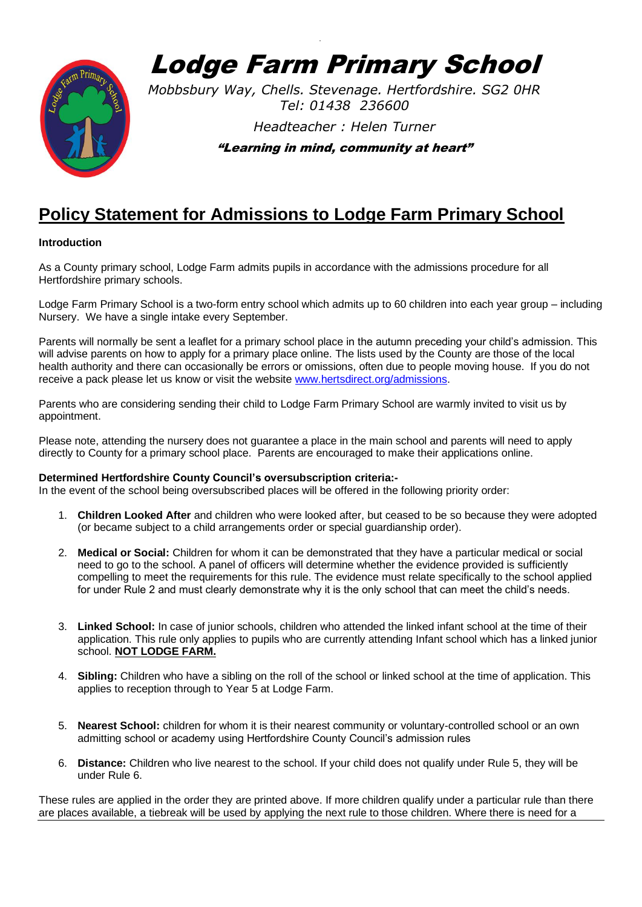

Lodge Farm Primary School

`

*Mobbsbury Way, Chells. Stevenage. Hertfordshire. SG2 0HR Tel: 01438 236600*

*Headteacher : Helen Turner* 

"Learning in mind, community at heart"

## **Policy Statement for Admissions to Lodge Farm Primary School**

## **Introduction**

As a County primary school, Lodge Farm admits pupils in accordance with the admissions procedure for all Hertfordshire primary schools.

Lodge Farm Primary School is a two-form entry school which admits up to 60 children into each year group – including Nursery. We have a single intake every September.

Parents will normally be sent a leaflet for a primary school place in the autumn preceding your child's admission. This will advise parents on how to apply for a primary place online. The lists used by the County are those of the local health authority and there can occasionally be errors or omissions, often due to people moving house. If you do not receive a pack please let us know or visit the website [www.hertsdirect.org/admissions.](http://www.hertsdirect.org/admissions)

Parents who are considering sending their child to Lodge Farm Primary School are warmly invited to visit us by appointment.

Please note, attending the nursery does not guarantee a place in the main school and parents will need to apply directly to County for a primary school place. Parents are encouraged to make their applications online.

## **Determined Hertfordshire County Council's oversubscription criteria:-**

In the event of the school being oversubscribed places will be offered in the following priority order:

- 1. **Children Looked After** and children who were looked after, but ceased to be so because they were adopted (or became subject to a child arrangements order or special guardianship order).
- 2. **Medical or Social:** Children for whom it can be demonstrated that they have a particular medical or social need to go to the school. A panel of officers will determine whether the evidence provided is sufficiently compelling to meet the requirements for this rule. The evidence must relate specifically to the school applied for under Rule 2 and must clearly demonstrate why it is the only school that can meet the child's needs.
- 3. **Linked School:** In case of junior schools, children who attended the linked infant school at the time of their application. This rule only applies to pupils who are currently attending Infant school which has a linked junior school. **NOT LODGE FARM.**
- 4. **Sibling:** Children who have a sibling on the roll of the school or linked school at the time of application. This applies to reception through to Year 5 at Lodge Farm.
- 5. **Nearest School:** children for whom it is their nearest community or voluntary-controlled school or an own admitting school or academy using Hertfordshire County Council's admission rules
- 6. **Distance:** Children who live nearest to the school. If your child does not qualify under Rule 5, they will be under Rule 6.

These rules are applied in the order they are printed above. If more children qualify under a particular rule than there are places available, a tiebreak will be used by applying the next rule to those children. Where there is need for a